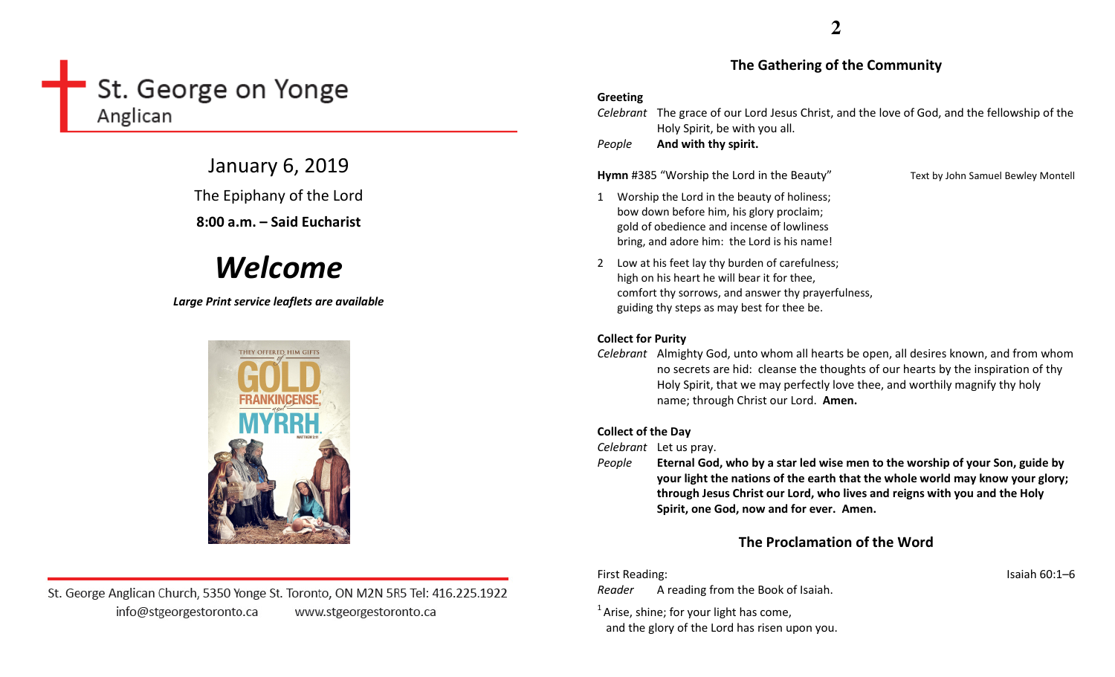# St. George on Yonge Anglican

January 6, 2019 The Epiphany of the Lord

8:00 a.m. – Said Eucharist

# Welcome

Large Print service leaflets are available



St. George Anglican Church, 5350 Yonge St. Toronto, ON M2N 5R5 Tel: 416.225.1922 info@stgeorgestoronto.ca www.stgeorgestoronto.ca

**2**

## The Gathering of the Community

### Greeting

Celebrant The grace of our Lord Jesus Christ, and the love of God, and the fellowship of the Holy Spirit, be with you all.

PeopleAnd with thy spirit.

Hymn #385 "Worship the Lord in the Beauty" Text by John Samuel Bewley Montell

- 1 Worship the Lord in the beauty of holiness; bow down before him, his glory proclaim; gold of obedience and incense of lowliness bring, and adore him: the Lord is his name!
- 2 Low at his feet lay thy burden of carefulness; high on his heart he will bear it for thee, comfort thy sorrows, and answer thy prayerfulness, guiding thy steps as may best for thee be.

# Collect for Purity

Celebrant Almighty God, unto whom all hearts be open, all desires known, and from whom no secrets are hid: cleanse the thoughts of our hearts by the inspiration of thy Holy Spirit, that we may perfectly love thee, and worthily magnify thy holy name; through Christ our Lord. Amen.

# Collect of the Day

Celebrant Let us pray.

People Eternal God, who by a star led wise men to the worship of your Son, guide by your light the nations of the earth that the whole world may know your glory; through Jesus Christ our Lord, who lives and reigns with you and the Holy Spirit, one God, now and for ever. Amen.

# The Proclamation of the Word

First Reading: Isaiah 60:1–6

Reader A reading from the Book of Isaiah.

 $<sup>1</sup>$  Arise, shine; for your light has come,</sup>

and the glory of the Lord has risen upon you.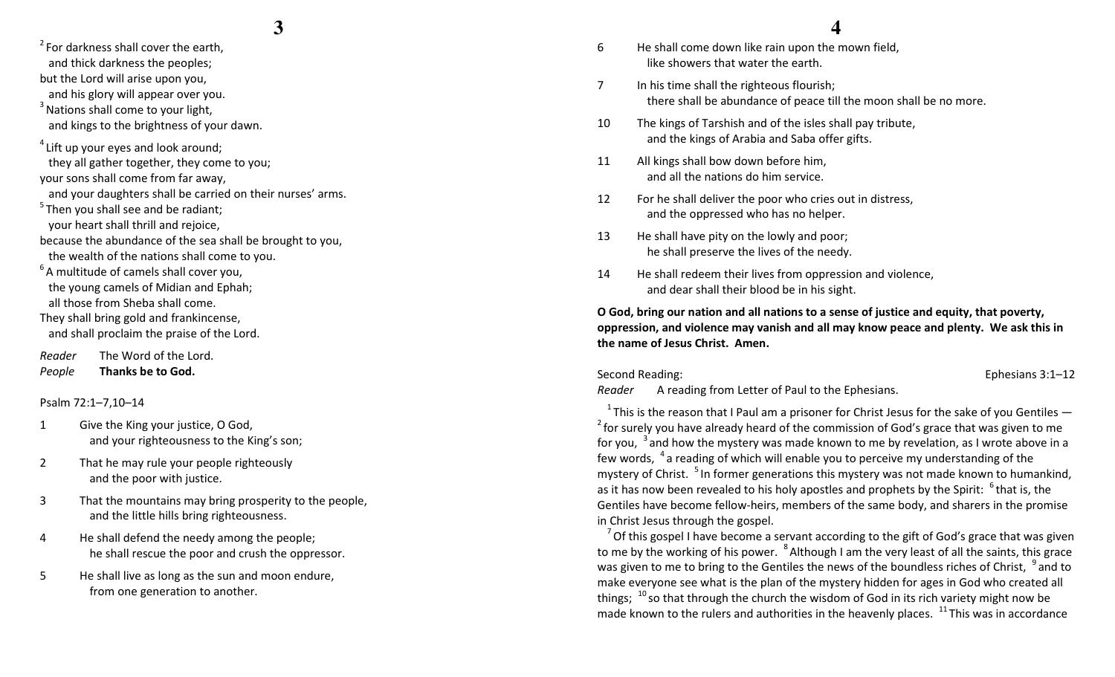- $2^2$  For darkness shall cover the earth. and thick darkness the peoples; but the Lord will arise upon you, and his glory will appear over you.
- $3$  Nations shall come to your light, and kings to the brightness of your dawn.
- $4$  Lift up your eyes and look around; they all gather together, they come to you; your sons shall come from far away,
- and your daughters shall be carried on their nurses' arms.
- $5$ Then you shall see and be radiant; your heart shall thrill and rejoice,
- because the abundance of the sea shall be brought to you,
- the wealth of the nations shall come to you.
- $6A$  multitude of camels shall cover you, the young camels of Midian and Ephah; all those from Sheba shall come.
- They shall bring gold and frankincense, and shall proclaim the praise of the Lord.
- Reader The Word of the Lord. PeopleThanks be to God.

Psalm 72:1–7,10–14

- 1 Give the King your justice, O God, and your righteousness to the King's son;
- 2 That he may rule your people righteously and the poor with justice.
- 3 That the mountains may bring prosperity to the people, and the little hills bring righteousness.
- 4 He shall defend the needy among the people; he shall rescue the poor and crush the oppressor.
- 5 He shall live as long as the sun and moon endure,from one generation to another.

# **4**

- 6 He shall come down like rain upon the mown field,like showers that water the earth.
- 7 In his time shall the righteous flourish; there shall be abundance of peace till the moon shall be no more.
- 10 The kings of Tarshish and of the isles shall pay tribute, and the kings of Arabia and Saba offer gifts.
- 11 All kings shall bow down before him, and all the nations do him service.
- 12 For he shall deliver the poor who cries out in distress, and the oppressed who has no helper.
- 13 He shall have pity on the lowly and poor; he shall preserve the lives of the needy.
- 14 He shall redeem their lives from oppression and violence, and dear shall their blood be in his sight.

O God, bring our nation and all nations to a sense of justice and equity, that poverty, oppression, and violence may vanish and all may know peace and plenty. We ask this in the name of Jesus Christ. Amen.

Second Reading: Ephesians 3:1–12

Reader A reading from Letter of Paul to the Ephesians.

 $1$ <sup>1</sup> This is the reason that I Paul am a prisoner for Christ Jesus for the sake of you Gentiles  $2$  for surely you have already heard of the commission of God's grace that was given to me for you,  $3$  and how the mystery was made known to me by revelation, as I wrote above in a few words,  $4a$  reading of which will enable you to perceive my understanding of the mystery of Christ. <sup>5</sup> In former generations this mystery was not made known to humankind, as it has now been revealed to his holy apostles and prophets by the Spirit:  $6$  that is, the Gentiles have become fellow-heirs, members of the same body, and sharers in the promise in Christ Jesus through the gospel.

 $^7$  Of this gospel I have become a servant according to the gift of God's grace that was given to me by the working of his power.  $8$  Although I am the very least of all the saints, this grace was given to me to bring to the Gentiles the news of the boundless riches of Christ,  $\,^9$  and to make everyone see what is the plan of the mystery hidden for ages in God who created all things;  $^{10}$  so that through the church the wisdom of God in its rich variety might now be made known to the rulers and authorities in the heavenly places.  $^{11}$  This was in accordance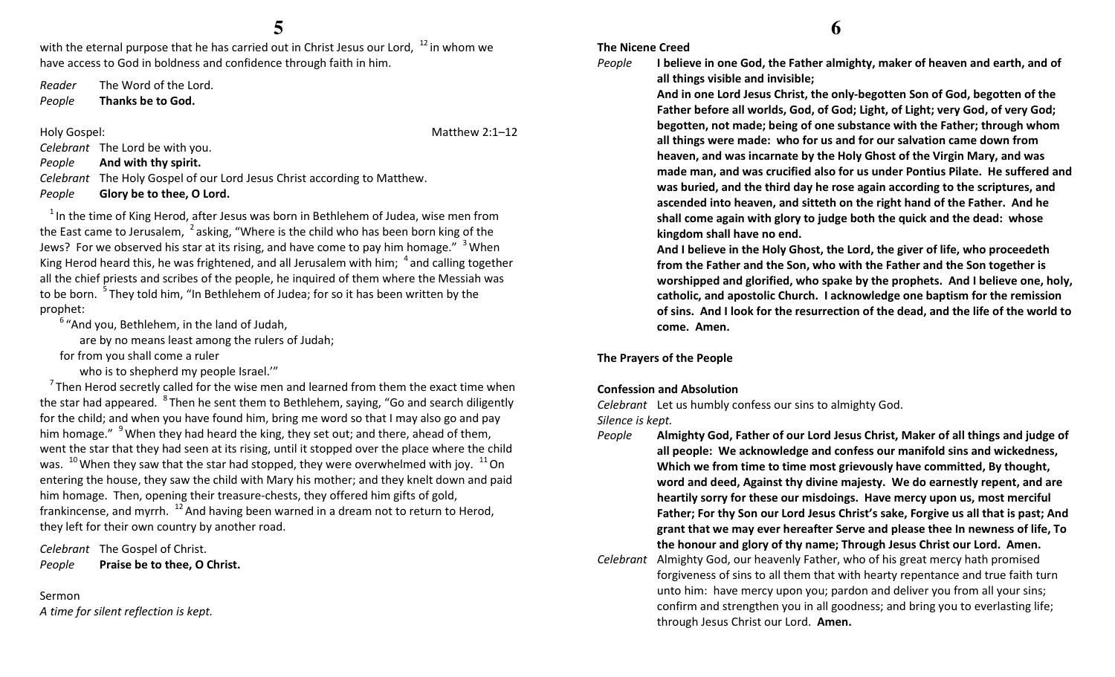with the eternal purpose that he has carried out in Christ Jesus our Lord,  $12$  in whom we have access to God in boldness and confidence through faith in him.

Reader The Word of the Lord.

PeopleThanks be to God.

Holy Gospel: **Matthew 2:1–12** 

Celebrant The Lord be with you.

PeopleAnd with thy spirit.

Celebrant The Holy Gospel of our Lord Jesus Christ according to Matthew.

#### PeopleGlory be to thee, O Lord.

 $1$ In the time of King Herod, after Jesus was born in Bethlehem of Judea, wise men from the East came to Jerusalem,  $2$  asking, "Where is the child who has been born king of the Jews? For we observed his star at its rising, and have come to pay him homage." <sup>3</sup> When King Herod heard this, he was frightened, and all Jerusalem with him;  $\ ^{4}$  and calling together all the chief priests and scribes of the people, he inquired of them where the Messiah was to be born. <sup>5</sup>They told him, "In Bethlehem of Judea; for so it has been written by the prophet:

 $6$  "And you, Bethlehem, in the land of Judah,

are by no means least among the rulers of Judah;

for from you shall come a ruler

who is to shepherd my people Israel."

 $<sup>7</sup>$ Then Herod secretly called for the wise men and learned from them the exact time when</sup> the star had appeared. <sup>8</sup>Then he sent them to Bethlehem, saying, "Go and search diligently for the child; and when you have found him, bring me word so that I may also go and pay him homage."  $9$  When they had heard the king, they set out; and there, ahead of them, went the star that they had seen at its rising, until it stopped over the place where the child was.  $^{10}$  When they saw that the star had stopped, they were overwhelmed with joy.  $^{11}$  On entering the house, they saw the child with Mary his mother; and they knelt down and paid him homage. Then, opening their treasure-chests, they offered him gifts of gold, frankincense, and myrrh.  $^{12}$  And having been warned in a dream not to return to Herod, they left for their own country by another road.

Celebrant The Gospel of Christ. PeoplePraise be to thee, O Christ.

## Sermon

A time for silent reflection is kept.

# **6**

The Nicene Creed I believe in one God, the Father almighty, maker of heaven and earth, and of

People

And in one Lord Jesus Christ, the only-begotten Son of God, begotten of the Father before all worlds, God, of God; Light, of Light; very God, of very God; begotten, not made; being of one substance with the Father; through whom all things were made: who for us and for our salvation came down from heaven, and was incarnate by the Holy Ghost of the Virgin Mary, and was made man, and was crucified also for us under Pontius Pilate. He suffered and was buried, and the third day he rose again according to the scriptures, and ascended into heaven, and sitteth on the right hand of the Father. And he shall come again with glory to judge both the quick and the dead: whose kingdom shall have no end.

And I believe in the Holy Ghost, the Lord, the giver of life, who proceedeth from the Father and the Son, who with the Father and the Son together is worshipped and glorified, who spake by the prophets. And I believe one, holy, catholic, and apostolic Church. I acknowledge one baptism for the remission of sins. And I look for the resurrection of the dead, and the life of the world to come. Amen.

#### The Prayers of the People

#### Confession and Absolution

Celebrant Let us humbly confess our sins to almighty God.

all things visible and invisible;

Silence is kept.

- People Almighty God, Father of our Lord Jesus Christ, Maker of all things and judge of all people: We acknowledge and confess our manifold sins and wickedness, Which we from time to time most grievously have committed, By thought, word and deed, Against thy divine majesty. We do earnestly repent, and are heartily sorry for these our misdoings. Have mercy upon us, most merciful Father; For thy Son our Lord Jesus Christ's sake, Forgive us all that is past; And grant that we may ever hereafter Serve and please thee In newness of life, To the honour and glory of thy name; Through Jesus Christ our Lord. Amen.
- Celebrant Almighty God, our heavenly Father, who of his great mercy hath promised forgiveness of sins to all them that with hearty repentance and true faith turn unto him: have mercy upon you; pardon and deliver you from all your sins; confirm and strengthen you in all goodness; and bring you to everlasting life; through Jesus Christ our Lord. Amen.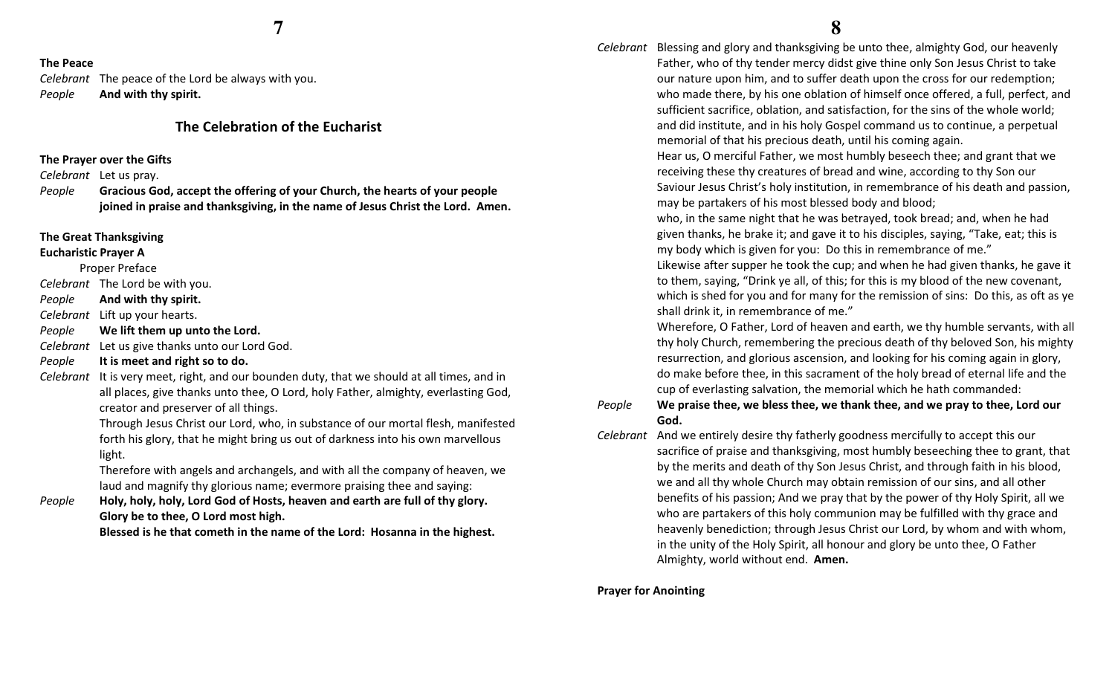#### The Peace

Celebrant The peace of the Lord be always with you. PeopleAnd with thy spirit.

## The Celebration of the Eucharist

#### The Prayer over the Gifts

Celebrant Let us pray.

People Gracious God, accept the offering of your Church, the hearts of your people joined in praise and thanksgiving, in the name of Jesus Christ the Lord. Amen.

#### The Great Thanksgiving

## Eucharistic Prayer A

Proper Preface

Celebrant The Lord be with you.

PeopleAnd with thy spirit.

Celebrant Lift up your hearts.

PeopleWe lift them up unto the Lord.

Celebrant Let us give thanks unto our Lord God.

#### PeopleIt is meet and right so to do.

Celebrant It is very meet, right, and our bounden duty, that we should at all times, and in all places, give thanks unto thee, O Lord, holy Father, almighty, everlasting God, creator and preserver of all things.

> Through Jesus Christ our Lord, who, in substance of our mortal flesh, manifested forth his glory, that he might bring us out of darkness into his own marvellous light.

Therefore with angels and archangels, and with all the company of heaven, we laud and magnify thy glorious name; evermore praising thee and saying:

People Holy, holy, holy, Lord God of Hosts, heaven and earth are full of thy glory. Glory be to thee, O Lord most high.

Blessed is he that cometh in the name of the Lord: Hosanna in the highest.

Celebrant Blessing and glory and thanksgiving be unto thee, almighty God, our heavenly Father, who of thy tender mercy didst give thine only Son Jesus Christ to take our nature upon him, and to suffer death upon the cross for our redemption; who made there, by his one oblation of himself once offered, a full, perfect, and sufficient sacrifice, oblation, and satisfaction, for the sins of the whole world; and did institute, and in his holy Gospel command us to continue, a perpetual memorial of that his precious death, until his coming again.

> Hear us, O merciful Father, we most humbly beseech thee; and grant that we receiving these thy creatures of bread and wine, according to thy Son our Saviour Jesus Christ's holy institution, in remembrance of his death and passion, may be partakers of his most blessed body and blood;

who, in the same night that he was betrayed, took bread; and, when he had given thanks, he brake it; and gave it to his disciples, saying, "Take, eat; this is my body which is given for you: Do this in remembrance of me."

Likewise after supper he took the cup; and when he had given thanks, he gave it to them, saying, "Drink ye all, of this; for this is my blood of the new covenant, which is shed for you and for many for the remission of sins: Do this, as oft as ye shall drink it, in remembrance of me."

Wherefore, O Father, Lord of heaven and earth, we thy humble servants, with all thy holy Church, remembering the precious death of thy beloved Son, his mighty resurrection, and glorious ascension, and looking for his coming again in glory, do make before thee, in this sacrament of the holy bread of eternal life and the cup of everlasting salvation, the memorial which he hath commanded:

#### People We praise thee, we bless thee, we thank thee, and we pray to thee, Lord our God.

Celebrant And we entirely desire thy fatherly goodness mercifully to accept this our sacrifice of praise and thanksgiving, most humbly beseeching thee to grant, that by the merits and death of thy Son Jesus Christ, and through faith in his blood, we and all thy whole Church may obtain remission of our sins, and all other benefits of his passion; And we pray that by the power of thy Holy Spirit, all we who are partakers of this holy communion may be fulfilled with thy grace and heavenly benediction; through Jesus Christ our Lord, by whom and with whom, in the unity of the Holy Spirit, all honour and glory be unto thee, O Father Almighty, world without end. Amen.

Prayer for Anointing